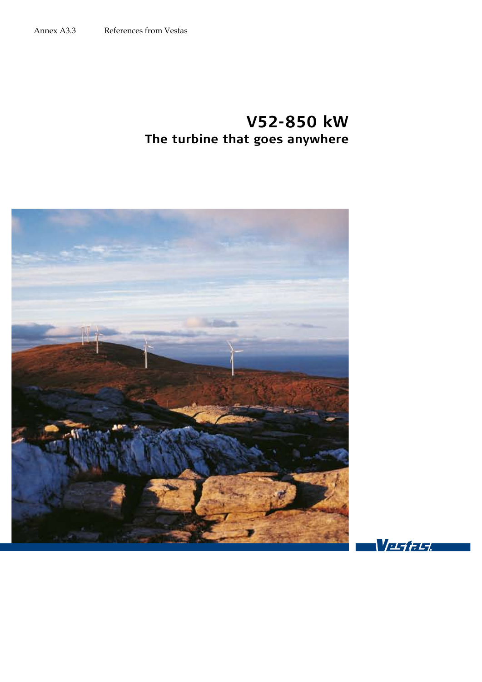# **V52-850 kW The turbine that goes anywhere**



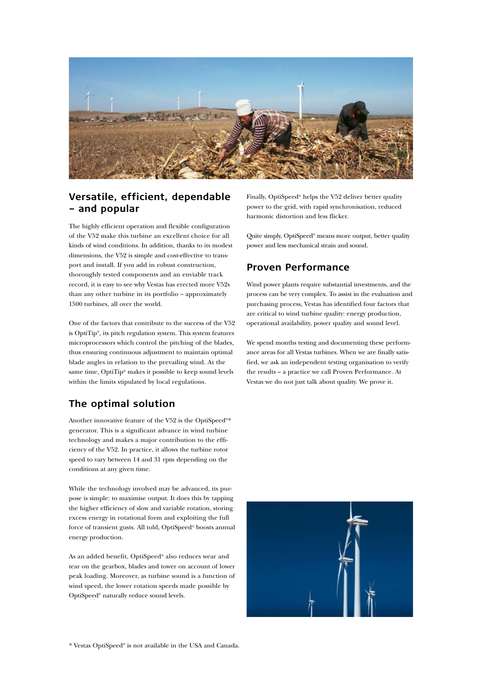

## **Versatile, efficient, dependable – and popular**

The highly efficient operation and flexible configuration of the V52 make this turbine an excellent choice for all kinds of wind conditions. In addition, thanks to its modest dimensions, the V52 is simple and cost-effective to transport and install. If you add in robust construction, thoroughly tested components and an enviable track record, it is easy to see why Vestas has erected more V52s than any other turbine in its portfolio – approximately 1500 turbines, all over the world.

One of the factors that contribute to the success of the V52 is OptiTip®, its pitch regulation system. This system features microprocessors which control the pitching of the blades, thus ensuring continuous adjustment to maintain optimal blade angles in relation to the prevailing wind. At the same time, OptiTip® makes it possible to keep sound levels within the limits stipulated by local regulations.

# **The optimal solution**

Another innovative feature of the V52 is the OptiSpeed®\* generator. This is a significant advance in wind turbine technology and makes a major contribution to the efficiency of the V52. In practice, it allows the turbine rotor speed to vary between 14 and 31 rpm depending on the conditions at any given time.

While the technology involved may be advanced, its purpose is simple: to maximise output. It does this by tapping the higher efficiency of slow and variable rotation, storing excess energy in rotational form and exploiting the full force of transient gusts. All told, OptiSpeed® boosts annual energy production.

As an added benefit, OptiSpeed® also reduces wear and tear on the gearbox, blades and tower on account of lower peak loading. Moreover, as turbine sound is a function of wind speed, the lower rotation speeds made possible by OptiSpeed® naturally reduce sound levels.

Finally, OptiSpeed® helps the V52 deliver better quality power to the grid, with rapid synchronisation, reduced harmonic distortion and less flicker.

Quite simply, OptiSpeed® means more output, better quality power and less mechanical strain and sound.

## **Proven Performance**

Wind power plants require substantial investments, and the process can be very complex. To assist in the evaluation and purchasing process, Vestas has identified four factors that are critical to wind turbine quality: energy production, operational availability, power quality and sound level.

We spend months testing and documenting these performance areas for all Vestas turbines. When we are finally satisfied, we ask an independent testing organisation to verify the results – a practice we call Proven Performance. At Vestas we do not just talk about quality. We prove it.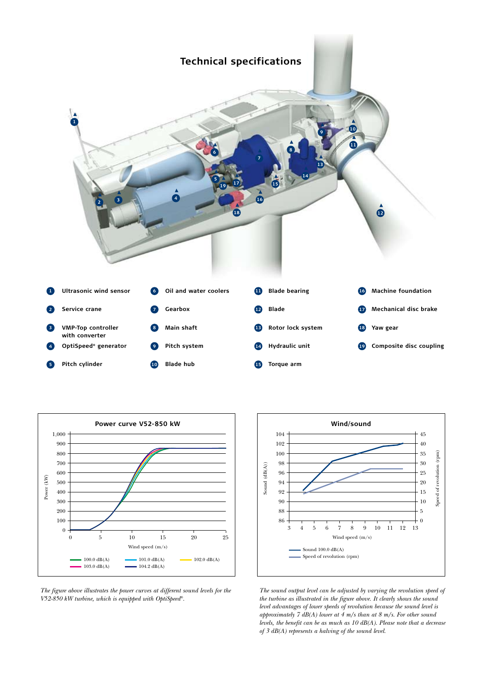



*The figure above illustrates the power curves at different sound levels for the V52-850 kW turbine, which is equipped with OptiSpeed®.*



*The sound output level can be adjusted by varying the revolution speed of the turbine as illustrated in the figure above. It clearly shows the sound level advantages of lower speeds of revolution because the sound level is approximately 7 dB(A) lower at 4 m/s than at 8 m/s. For other sound levels, the benefit can be as much as 10 dB(A). Please note that a decrease of 3 dB(A) represents a halving of the sound level.*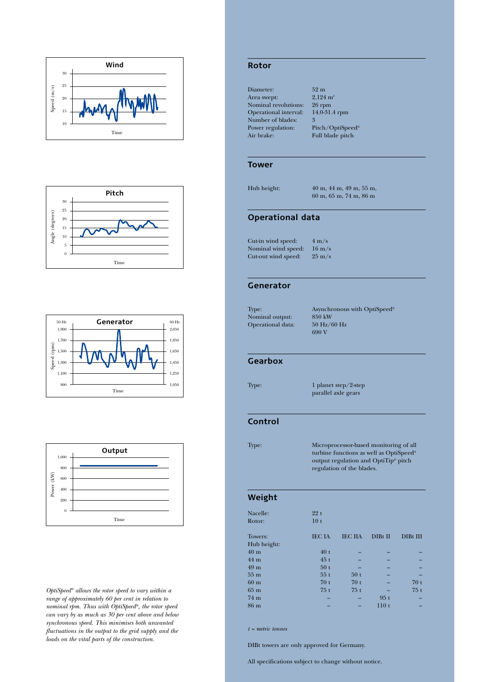







*OptiSpeed® allows the rotor speed to vary within a range of approximately 60 per cent in relation to nominal rpm. Thus with OptiSpeed®, the rotor speed can vary by as much as 30 per cent above and below synchronous speed. This minimises both unwanted fluctuations in the output to the grid supply and the loads on the vital parts of the construction.* 

#### **Rotor**

| Diameter:             | 52 <sub>m</sub> |
|-----------------------|-----------------|
| Area swept:           | 2,124           |
| Nominal revolutions:  | $26 \text{ yr}$ |
| Operational interval: | $14.0 -$        |
| Number of blades:     | 3               |
| Power regulation:     | Pitch           |
| Air brake:            | Full 1          |
|                       |                 |

 $124 \text{ m}^2$ i rpm  $\overline{0.0}31.4$  rpm tch/OptiSpeed® all blade pitch

#### **Tower**

Hub height: 40 m, 44 m, 49 m, 55 m,

60 m, 65 m, 74 m, 86 m

### **Operational data**

Cut-in wind speed:  $4 \text{ m/s}$ Nominal wind speed: 16 m/s Cut-out wind speed: 25 m/s

#### **Generator**

```
Nominal output:
Operational data: 50 Hz/60 Hz
```
Type: <br> Asynchronous with OptiSpeed®<br> Nominal output: <br>  $850 \text{ kW}$ 690 V

#### **Gearbox**

Type: 1 planet step/2-step parallel axle gears

### **Control**

```
Type: Microprocessor-based monitoring of all 
                     turbine functions as well as OptiSpeed®
                     output regulation and OptiTip® pitch 
                     regulation of the blades.
```
#### **Weight**

| Nacelle:        | 22t             |                |                  |          |
|-----------------|-----------------|----------------|------------------|----------|
| Rotor:          | 10 <sub>t</sub> |                |                  |          |
| Towers:         | <b>IEC IA</b>   | <b>IEC IIA</b> | DIBt II          | DIBt III |
| Hub height:     |                 |                |                  |          |
| 40 <sub>m</sub> | 40t             |                |                  |          |
| 44 <sub>m</sub> | 45t             |                |                  |          |
| 49 <sub>m</sub> | 50t             |                |                  |          |
| 55 <sub>m</sub> | 55t             | 50t            |                  |          |
| 60 <sub>m</sub> | 70t             | 70t            |                  | 70t      |
| 65 <sub>m</sub> | 75t             | 75t            |                  | 75t      |
| 74 m            |                 |                | 95t              |          |
| 86 <sub>m</sub> |                 |                | 110 <sub>t</sub> |          |

*t = metric tonnes*

DIBt towers are only approved for Germany.

All specifications subject to change without notice.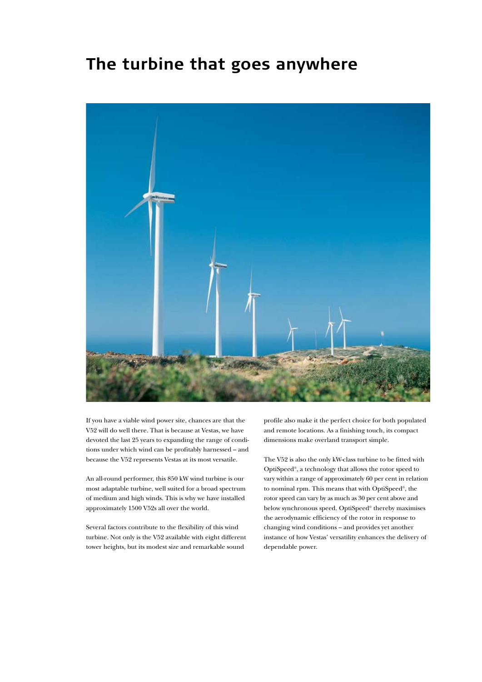# **The turbine that goes anywhere**



If you have a viable wind power site, chances are that the V52 will do well there. That is because at Vestas, we have devoted the last 25 years to expanding the range of conditions under which wind can be profitably harnessed – and because the V52 represents Vestas at its most versatile.

An all-round performer, this 850 kW wind turbine is our most adaptable turbine, well suited for a broad spectrum of medium and high winds. This is why we have installed approximately 1500 V52s all over the world.

Several factors contribute to the flexibility of this wind turbine. Not only is the V52 available with eight different tower heights, but its modest size and remarkable sound

profile also make it the perfect choice for both populated and remote locations. As a finishing touch, its compact dimensions make overland transport simple.

The V52 is also the only kW-class turbine to be fitted with OptiSpeed®, a technology that allows the rotor speed to vary within a range of approximately 60 per cent in relation to nominal rpm. This means that with OptiSpeed®, the rotor speed can vary by as much as 30 per cent above and below synchronous speed. OptiSpeed® thereby maximises the aerodynamic efficiency of the rotor in response to changing wind conditions – and provides yet another instance of how Vestas' versatility enhances the delivery of dependable power.